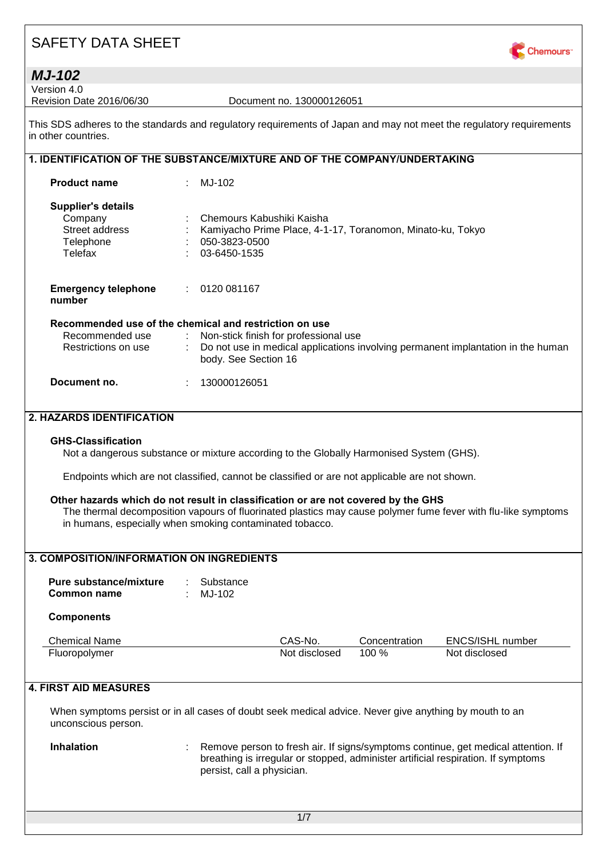

| <b>MJ-102</b>                                                                                                                              |    |                                            |                                       |                                                            |                                                                                                                                                                        |
|--------------------------------------------------------------------------------------------------------------------------------------------|----|--------------------------------------------|---------------------------------------|------------------------------------------------------------|------------------------------------------------------------------------------------------------------------------------------------------------------------------------|
| Version 4.0                                                                                                                                |    |                                            |                                       |                                                            |                                                                                                                                                                        |
| Revision Date 2016/06/30                                                                                                                   |    |                                            | Document no. 130000126051             |                                                            |                                                                                                                                                                        |
| This SDS adheres to the standards and regulatory requirements of Japan and may not meet the regulatory requirements<br>in other countries. |    |                                            |                                       |                                                            |                                                                                                                                                                        |
| 1. IDENTIFICATION OF THE SUBSTANCE/MIXTURE AND OF THE COMPANY/UNDERTAKING                                                                  |    |                                            |                                       |                                                            |                                                                                                                                                                        |
| <b>Product name</b>                                                                                                                        |    | MJ-102                                     |                                       |                                                            |                                                                                                                                                                        |
|                                                                                                                                            |    |                                            |                                       |                                                            |                                                                                                                                                                        |
| <b>Supplier's details</b><br>Company<br>Street address<br>Telephone                                                                        |    | Chemours Kabushiki Kaisha<br>050-3823-0500 |                                       | Kamiyacho Prime Place, 4-1-17, Toranomon, Minato-ku, Tokyo |                                                                                                                                                                        |
| Telefax                                                                                                                                    |    | 03-6450-1535                               |                                       |                                                            |                                                                                                                                                                        |
| <b>Emergency telephone</b><br>number                                                                                                       | ÷. | 0120 081167                                |                                       |                                                            |                                                                                                                                                                        |
| Recommended use of the chemical and restriction on use                                                                                     |    |                                            |                                       |                                                            |                                                                                                                                                                        |
| Recommended use                                                                                                                            |    |                                            | Non-stick finish for professional use |                                                            |                                                                                                                                                                        |
| Restrictions on use                                                                                                                        |    | body. See Section 16                       |                                       |                                                            | Do not use in medical applications involving permanent implantation in the human                                                                                       |
| Document no.                                                                                                                               |    | 130000126051                               |                                       |                                                            |                                                                                                                                                                        |
|                                                                                                                                            |    |                                            |                                       |                                                            |                                                                                                                                                                        |
| 2. HAZARDS IDENTIFICATION                                                                                                                  |    |                                            |                                       |                                                            |                                                                                                                                                                        |
| <b>GHS-Classification</b><br>Not a dangerous substance or mixture according to the Globally Harmonised System (GHS).                       |    |                                            |                                       |                                                            |                                                                                                                                                                        |
| Endpoints which are not classified, cannot be classified or are not applicable are not shown.                                              |    |                                            |                                       |                                                            |                                                                                                                                                                        |
| Other hazards which do not result in classification or are not covered by the GHS                                                          |    |                                            |                                       |                                                            |                                                                                                                                                                        |
| in humans, especially when smoking contaminated tobacco.                                                                                   |    |                                            |                                       |                                                            | The thermal decomposition vapours of fluorinated plastics may cause polymer fume fever with flu-like symptoms                                                          |
|                                                                                                                                            |    |                                            |                                       |                                                            |                                                                                                                                                                        |
| 3. COMPOSITION/INFORMATION ON INGREDIENTS                                                                                                  |    |                                            |                                       |                                                            |                                                                                                                                                                        |
|                                                                                                                                            |    |                                            |                                       |                                                            |                                                                                                                                                                        |
| <b>Pure substance/mixture</b><br><b>Common name</b>                                                                                        |    | Substance<br>MJ-102                        |                                       |                                                            |                                                                                                                                                                        |
| <b>Components</b>                                                                                                                          |    |                                            |                                       |                                                            |                                                                                                                                                                        |
| <b>Chemical Name</b>                                                                                                                       |    |                                            | CAS-No.                               | Concentration                                              | ENCS/ISHL number                                                                                                                                                       |
| Fluoropolymer                                                                                                                              |    |                                            | Not disclosed                         | 100 %                                                      | Not disclosed                                                                                                                                                          |
|                                                                                                                                            |    |                                            |                                       |                                                            |                                                                                                                                                                        |
| <b>4. FIRST AID MEASURES</b>                                                                                                               |    |                                            |                                       |                                                            |                                                                                                                                                                        |
| When symptoms persist or in all cases of doubt seek medical advice. Never give anything by mouth to an<br>unconscious person.              |    |                                            |                                       |                                                            |                                                                                                                                                                        |
| <b>Inhalation</b>                                                                                                                          |    | persist, call a physician.                 |                                       |                                                            | Remove person to fresh air. If signs/symptoms continue, get medical attention. If<br>breathing is irregular or stopped, administer artificial respiration. If symptoms |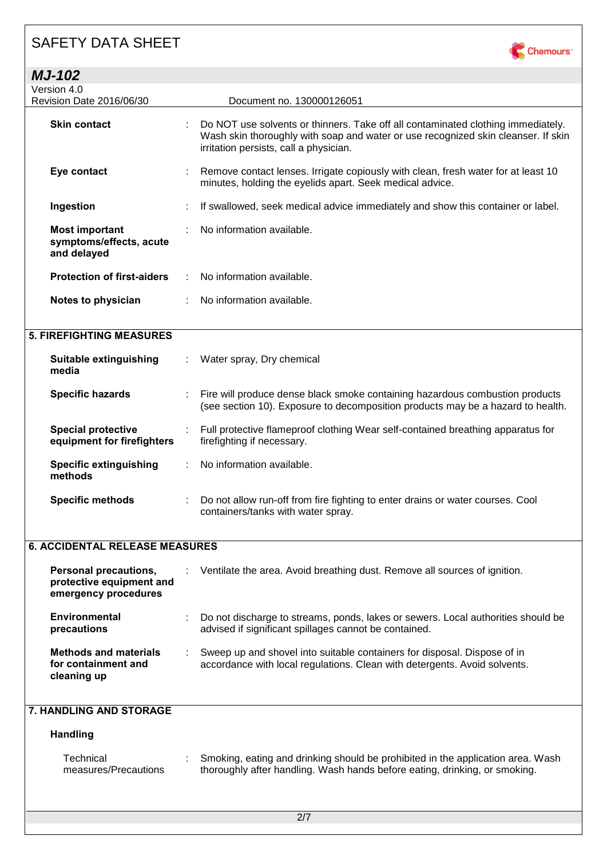| <b>MJ-102</b>                                                                    |   |                                                                                                                                                                                                                 |
|----------------------------------------------------------------------------------|---|-----------------------------------------------------------------------------------------------------------------------------------------------------------------------------------------------------------------|
| Version 4.0<br>Revision Date 2016/06/30                                          |   | Document no. 130000126051                                                                                                                                                                                       |
| <b>Skin contact</b>                                                              |   | Do NOT use solvents or thinners. Take off all contaminated clothing immediately.<br>Wash skin thoroughly with soap and water or use recognized skin cleanser. If skin<br>irritation persists, call a physician. |
| Eye contact                                                                      |   | Remove contact lenses. Irrigate copiously with clean, fresh water for at least 10<br>minutes, holding the eyelids apart. Seek medical advice.                                                                   |
| Ingestion                                                                        |   | If swallowed, seek medical advice immediately and show this container or label.                                                                                                                                 |
| <b>Most important</b><br>symptoms/effects, acute<br>and delayed                  |   | No information available.                                                                                                                                                                                       |
| <b>Protection of first-aiders</b>                                                |   | No information available.                                                                                                                                                                                       |
| Notes to physician                                                               |   | No information available.                                                                                                                                                                                       |
| <b>5. FIREFIGHTING MEASURES</b>                                                  |   |                                                                                                                                                                                                                 |
| <b>Suitable extinguishing</b><br>media                                           |   | Water spray, Dry chemical                                                                                                                                                                                       |
| <b>Specific hazards</b>                                                          |   | Fire will produce dense black smoke containing hazardous combustion products<br>(see section 10). Exposure to decomposition products may be a hazard to health.                                                 |
| <b>Special protective</b><br>equipment for firefighters                          |   | Full protective flameproof clothing Wear self-contained breathing apparatus for<br>firefighting if necessary.                                                                                                   |
| <b>Specific extinguishing</b><br>methods                                         | ÷ | No information available.                                                                                                                                                                                       |
| <b>Specific methods</b>                                                          | ÷ | Do not allow run-off from fire fighting to enter drains or water courses. Cool<br>containers/tanks with water spray.                                                                                            |
| <b>6. ACCIDENTAL RELEASE MEASURES</b>                                            |   |                                                                                                                                                                                                                 |
| <b>Personal precautions,</b><br>protective equipment and<br>emergency procedures |   | Ventilate the area. Avoid breathing dust. Remove all sources of ignition.                                                                                                                                       |
| <b>Environmental</b><br>precautions                                              |   | Do not discharge to streams, ponds, lakes or sewers. Local authorities should be<br>advised if significant spillages cannot be contained.                                                                       |
| <b>Methods and materials</b><br>for containment and<br>cleaning up               |   | Sweep up and shovel into suitable containers for disposal. Dispose of in<br>accordance with local regulations. Clean with detergents. Avoid solvents.                                                           |
| 7. HANDLING AND STORAGE                                                          |   |                                                                                                                                                                                                                 |
| <b>Handling</b>                                                                  |   |                                                                                                                                                                                                                 |
| Technical<br>measures/Precautions                                                |   | Smoking, eating and drinking should be prohibited in the application area. Wash<br>thoroughly after handling. Wash hands before eating, drinking, or smoking.                                                   |

Chemours<sup>-</sup>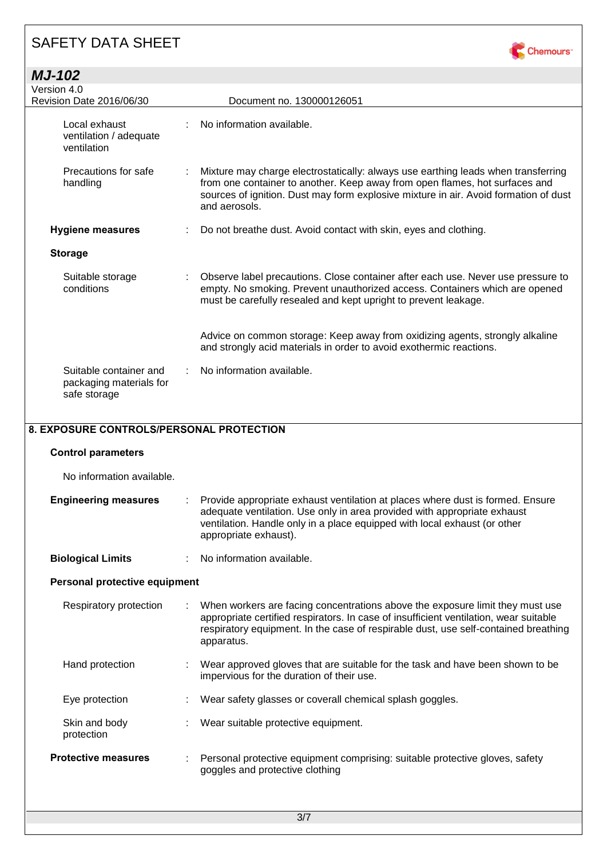| <b>MJ-102</b>                                                     |   |                                                                                                                                                                                                                                                                           |
|-------------------------------------------------------------------|---|---------------------------------------------------------------------------------------------------------------------------------------------------------------------------------------------------------------------------------------------------------------------------|
| Version 4.0                                                       |   |                                                                                                                                                                                                                                                                           |
| Revision Date 2016/06/30                                          |   | Document no. 130000126051                                                                                                                                                                                                                                                 |
| Local exhaust<br>ventilation / adequate<br>ventilation            |   | No information available.                                                                                                                                                                                                                                                 |
| Precautions for safe<br>handling                                  | ÷ | Mixture may charge electrostatically: always use earthing leads when transferring<br>from one container to another. Keep away from open flames, hot surfaces and<br>sources of ignition. Dust may form explosive mixture in air. Avoid formation of dust<br>and aerosols. |
| <b>Hygiene measures</b>                                           |   | Do not breathe dust. Avoid contact with skin, eyes and clothing.                                                                                                                                                                                                          |
| <b>Storage</b>                                                    |   |                                                                                                                                                                                                                                                                           |
| Suitable storage<br>conditions                                    |   | Observe label precautions. Close container after each use. Never use pressure to<br>empty. No smoking. Prevent unauthorized access. Containers which are opened<br>must be carefully resealed and kept upright to prevent leakage.                                        |
|                                                                   |   | Advice on common storage: Keep away from oxidizing agents, strongly alkaline<br>and strongly acid materials in order to avoid exothermic reactions.                                                                                                                       |
| Suitable container and<br>packaging materials for<br>safe storage |   | No information available.                                                                                                                                                                                                                                                 |

Chemours<sup>-</sup>

### **8. EXPOSURE CONTROLS/PERSONAL PROTECTION**

| <b>Control parameters</b>     |   |                                                                                                                                                                                                                                                                             |
|-------------------------------|---|-----------------------------------------------------------------------------------------------------------------------------------------------------------------------------------------------------------------------------------------------------------------------------|
| No information available.     |   |                                                                                                                                                                                                                                                                             |
| <b>Engineering measures</b>   | ÷ | Provide appropriate exhaust ventilation at places where dust is formed. Ensure<br>adequate ventilation. Use only in area provided with appropriate exhaust<br>ventilation. Handle only in a place equipped with local exhaust (or other<br>appropriate exhaust).            |
| <b>Biological Limits</b>      |   | No information available.                                                                                                                                                                                                                                                   |
| Personal protective equipment |   |                                                                                                                                                                                                                                                                             |
| Respiratory protection        |   | When workers are facing concentrations above the exposure limit they must use<br>appropriate certified respirators. In case of insufficient ventilation, wear suitable<br>respiratory equipment. In the case of respirable dust, use self-contained breathing<br>apparatus. |
| Hand protection               |   | Wear approved gloves that are suitable for the task and have been shown to be<br>impervious for the duration of their use.                                                                                                                                                  |
| Eye protection                |   | Wear safety glasses or coverall chemical splash goggles.                                                                                                                                                                                                                    |
| Skin and body<br>protection   |   | Wear suitable protective equipment.                                                                                                                                                                                                                                         |
| <b>Protective measures</b>    |   | Personal protective equipment comprising: suitable protective gloves, safety<br>goggles and protective clothing                                                                                                                                                             |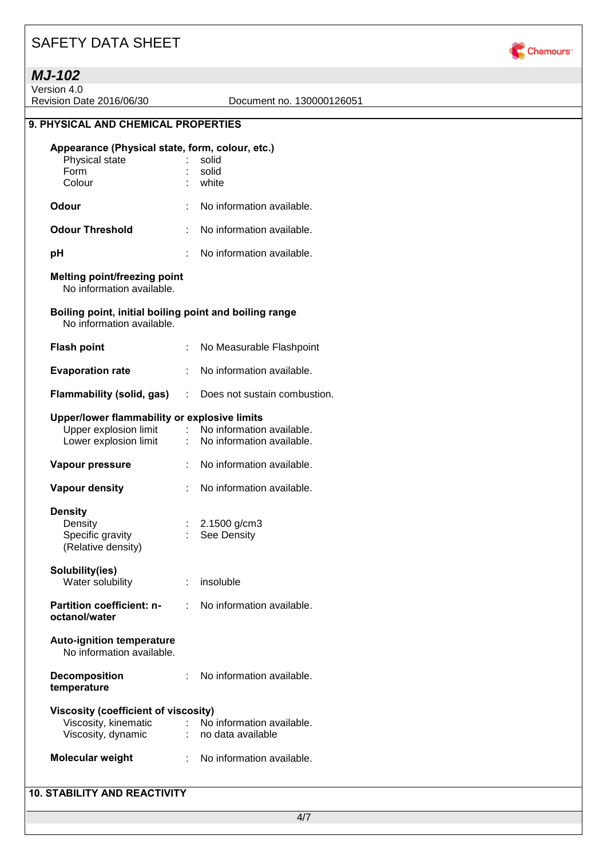

Version 4.0

Revision Date 2016/06/30 Document no. 130000126051

#### **9. PHYSICAL AND CHEMICAL PROPERTIES**

#### **Appearance (Physical state, form, colour, etc.)**

| <b>Odour</b>   | No information available. |
|----------------|---------------------------|
| Colour         | : white                   |
| Form           | : solid                   |
| Physical state | solid                     |
|                |                           |

- **Odour Threshold** : No information available.
- **pH** : No information available.

### **Melting point/freezing point**

No information available.

#### **Boiling point, initial boiling point and boiling range** No information available.

**Flash point** : No Measurable Flashpoint **Evaporation rate** : No information available. **Flammability (solid, gas)** : Does not sustain combustion. **Upper/lower flammability or explosive limits** Upper explosion limit : No information available. Lower explosion limit : No information available. **Vapour pressure** : No information available. **Vapour density** : No information available. **Density** Density : 2.1500 g/cm3 Specific gravity (Relative density) : See Density **Solubility(ies)** Water solubility **: insoluble Partition coefficient: noctanol/water** : No information available. **Auto-ignition temperature** No information available. **Decomposition temperature** : No information available. **Viscosity (coefficient of viscosity)**

| Viscosity, kinematic | No information available. |
|----------------------|---------------------------|
| Viscosity, dynamic   | no data available         |

| <b>Molecular weight</b> | No information available. |
|-------------------------|---------------------------|
|                         |                           |

#### **10. STABILITY AND REACTIVITY**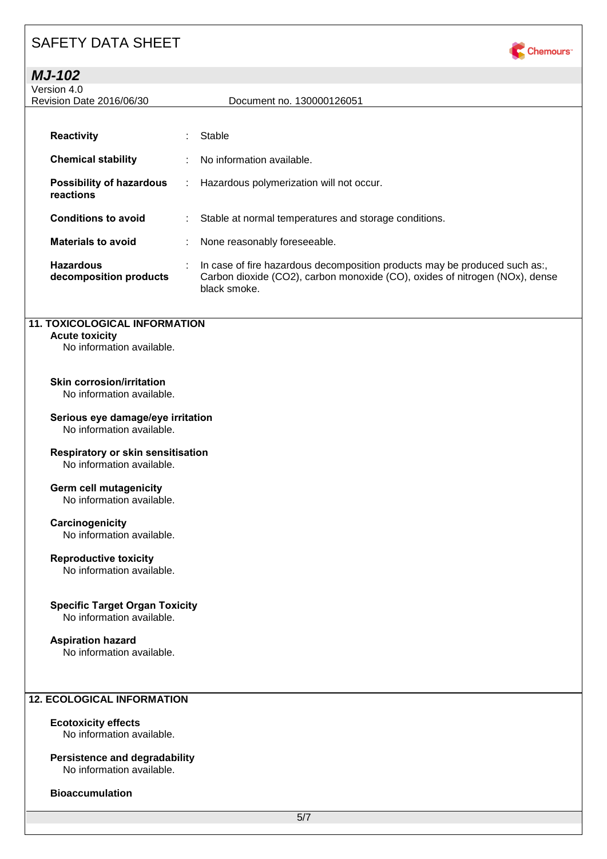

### *MJ-102*

| Version 4.0<br>Revision Date 2016/06/30      |    | Document no. 130000126051                                                                                                                                                 |
|----------------------------------------------|----|---------------------------------------------------------------------------------------------------------------------------------------------------------------------------|
|                                              |    |                                                                                                                                                                           |
| <b>Reactivity</b>                            | ÷  | Stable                                                                                                                                                                    |
| <b>Chemical stability</b>                    |    | : No information available.                                                                                                                                               |
| <b>Possibility of hazardous</b><br>reactions | ÷. | Hazardous polymerization will not occur.                                                                                                                                  |
| <b>Conditions to avoid</b>                   | ÷. | Stable at normal temperatures and storage conditions.                                                                                                                     |
| <b>Materials to avoid</b>                    | ÷. | None reasonably foreseeable.                                                                                                                                              |
| <b>Hazardous</b><br>decomposition products   |    | In case of fire hazardous decomposition products may be produced such as:,<br>Carbon dioxide (CO2), carbon monoxide (CO), oxides of nitrogen (NOx), dense<br>black smoke. |

#### **11. TOXICOLOGICAL INFORMATION**

#### **Acute toxicity**

No information available.

### **Skin corrosion/irritation**

No information available.

#### **Serious eye damage/eye irritation** No information available.

#### **Respiratory or skin sensitisation**

No information available.

### **Germ cell mutagenicity**

No information available.

#### **Carcinogenicity**

No information available.

#### **Reproductive toxicity**

No information available.

#### **Specific Target Organ Toxicity**

No information available.

#### **Aspiration hazard**

No information available.

#### **12. ECOLOGICAL INFORMATION**

#### **Ecotoxicity effects**

No information available.

#### **Persistence and degradability** No information available.

**Bioaccumulation**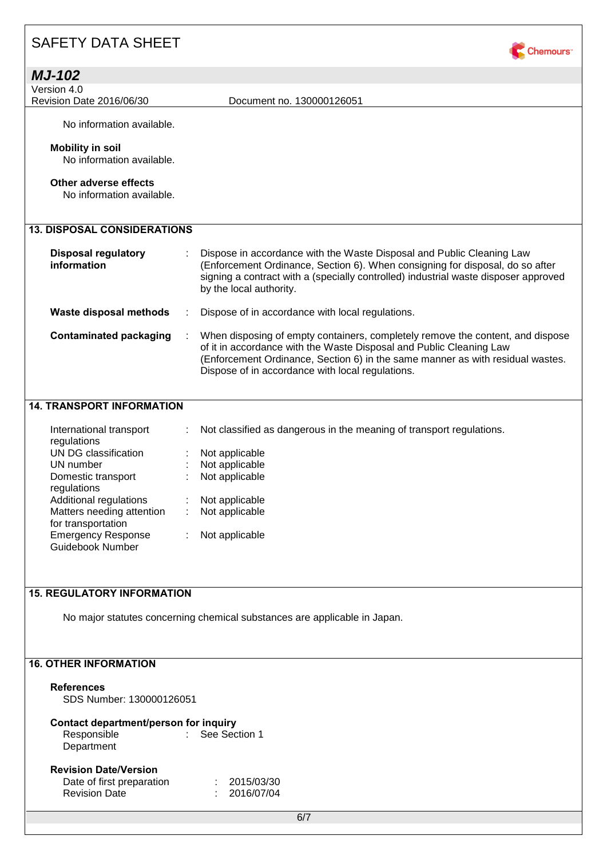| <b>MJ-102</b>                             |                                                                                                                                                                                                                                                                                             |
|-------------------------------------------|---------------------------------------------------------------------------------------------------------------------------------------------------------------------------------------------------------------------------------------------------------------------------------------------|
| Version 4.0                               |                                                                                                                                                                                                                                                                                             |
| Revision Date 2016/06/30                  | Document no. 130000126051                                                                                                                                                                                                                                                                   |
| No information available.                 |                                                                                                                                                                                                                                                                                             |
| <b>Mobility in soil</b>                   |                                                                                                                                                                                                                                                                                             |
| No information available.                 |                                                                                                                                                                                                                                                                                             |
|                                           |                                                                                                                                                                                                                                                                                             |
| Other adverse effects                     |                                                                                                                                                                                                                                                                                             |
| No information available.                 |                                                                                                                                                                                                                                                                                             |
|                                           |                                                                                                                                                                                                                                                                                             |
| <b>13. DISPOSAL CONSIDERATIONS</b>        |                                                                                                                                                                                                                                                                                             |
| <b>Disposal regulatory</b><br>information | Dispose in accordance with the Waste Disposal and Public Cleaning Law<br>(Enforcement Ordinance, Section 6). When consigning for disposal, do so after<br>signing a contract with a (specially controlled) industrial waste disposer approved<br>by the local authority.                    |
| Waste disposal methods                    | Dispose of in accordance with local regulations.                                                                                                                                                                                                                                            |
| <b>Contaminated packaging</b>             | When disposing of empty containers, completely remove the content, and dispose<br>of it in accordance with the Waste Disposal and Public Cleaning Law<br>(Enforcement Ordinance, Section 6) in the same manner as with residual wastes.<br>Dispose of in accordance with local regulations. |
|                                           |                                                                                                                                                                                                                                                                                             |

Chemours<sup>-</sup>

### **14. TRANSPORT INFORMATION**

| International transport<br>regulations          | ÷. | Not classified as dangerous in the meaning of transport regulations. |
|-------------------------------------------------|----|----------------------------------------------------------------------|
| UN DG classification                            |    | Not applicable                                                       |
| UN number                                       |    | Not applicable                                                       |
| Domestic transport<br>regulations               |    | Not applicable                                                       |
| Additional regulations                          |    | Not applicable                                                       |
| Matters needing attention<br>for transportation |    | Not applicable                                                       |
| <b>Emergency Response</b><br>Guidebook Number   |    | Not applicable                                                       |

### **15. REGULATORY INFORMATION**

No major statutes concerning chemical substances are applicable in Japan.

### **16. OTHER INFORMATION**

#### **References**

SDS Number: 130000126051

### **Contact department/person for inquiry**

Responsible : See Section 1 **Department** 

# **Revision Date/Version**

| Date of first preparation | : 2015/03/30 |
|---------------------------|--------------|
| <b>Revision Date</b>      | : 2016/07/04 |